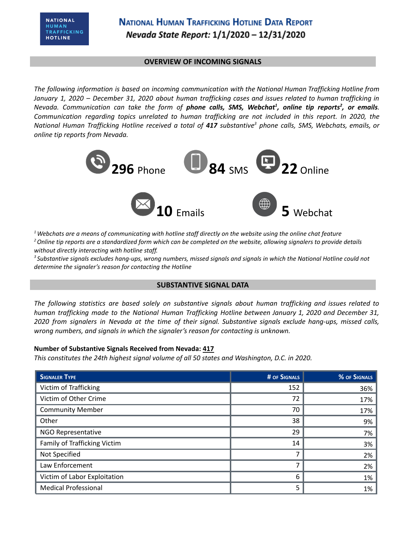## **OVERVIEW OF INCOMING SIGNALS**

*The following information is based on incoming communication with the National Human Trafficking Hotline from* January 1, 2020 - December 31, 2020 about human trafficking cases and issues related to human trafficking in Nevada. Communication can take the form of **phone calls, SMS, Webchat<sup>1</sup>, online tip reports<sup>2</sup>, or emails.** *Communication regarding topics unrelated to human trafficking are not included in this report. In 2020, the* National Human Trafficking Hotline received a total of 417 substantive<sup>3</sup> phone calls, SMS, Webchats, emails, or *online tip reports from Nevada.*



 $1$  Webchats are a means of communicating with hotline staff directly on the website using the online chat feature <sup>2</sup> Online tip reports are a standardized form which can be completed on the website, allowing signalers to provide details *without directly interacting with hotline staff.*

<sup>3</sup> Substantive signals excludes hang-ups, wrong numbers, missed signals and signals in which the National Hotline could not *determine the signaler's reason for contacting the Hotline*

### **SUBSTANTIVE SIGNAL DATA**

*The following statistics are based solely on substantive signals about human trafficking and issues related to human trafficking made to the National Human Trafficking Hotline between January 1, 2020 and December 31,* 2020 from signalers in Nevada at the time of their signal. Substantive signals exclude hang-ups, missed calls, *wrong numbers, and signals in which the signaler's reason for contacting is unknown.*

### **Number of Substantive Signals Received from Nevada: 417**

*This constitutes the 24th highest signal volume of all 50 states and Washington, D.C. in 2020.*

| <b>SIGNALER TYPE</b>         | # OF SIGNALS | % OF SIGNALS |
|------------------------------|--------------|--------------|
| Victim of Trafficking        | 152          | 36%          |
| Victim of Other Crime        | 72           | 17%          |
| <b>Community Member</b>      | 70           | 17%          |
| Other                        | 38           | 9%           |
| NGO Representative           | 29           | 7%           |
| Family of Trafficking Victim | 14           | 3%           |
| Not Specified                | 7            | 2%           |
| Law Enforcement              |              | 2%           |
| Victim of Labor Exploitation | 6            | 1%           |
| <b>Medical Professional</b>  | 5            | 1%           |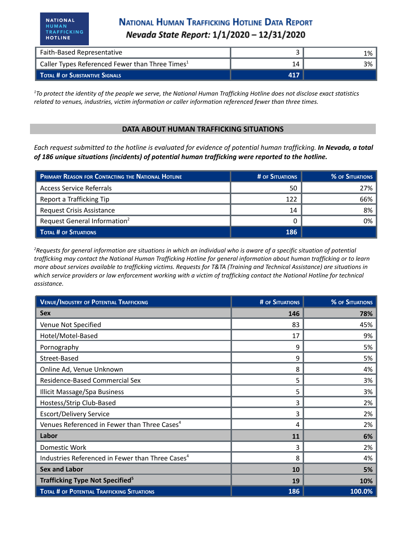**NATIONAL** 

HUMAN TRAFFICKING

**HOTLINE** 

| <b>Faith-Based Representative</b>                           |     | 1% |
|-------------------------------------------------------------|-----|----|
| Caller Types Referenced Fewer than Three Times <sup>1</sup> |     | 3% |
| TOTAL # OF SUBSTANTIVE SIGNALS                              | 417 |    |

<sup>1</sup>To protect the identity of the people we serve, the National Human Trafficking Hotline does not disclose exact statistics *related to venues, industries, victim information or caller information referenced fewer than three times.*

#### **DATA ABOUT HUMAN TRAFFICKING SITUATIONS**

Each request submitted to the hotline is evaluated for evidence of potential human trafficking. In Nevada, a total *of 186 unique situations (incidents) of potential human trafficking were reported to the hotline.*

| PRIMARY REASON FOR CONTACTING THE NATIONAL HOTLINE | # OF SITUATIONS | <b>% OF SITUATIONS</b> |
|----------------------------------------------------|-----------------|------------------------|
| Access Service Referrals                           | 50              | 27%                    |
| Report a Trafficking Tip                           | 122             | 66%                    |
| <b>Request Crisis Assistance</b>                   | 14              | 8%                     |
| Request General Information <sup>2</sup>           |                 | 0%                     |
| TOTAL # OF SITUATIONS                              | 186             |                        |

<sup>2</sup>Requests for general information are situations in which an individual who is aware of a specific situation of potential trafficking may contact the National Human Trafficking Hotline for general information about human trafficking or to learn more about services available to trafficking victims. Requests for T&TA (Training and Technical Assistance) are situations in which service providers or law enforcement working with a victim of trafficking contact the National Hotline for technical *assistance.*

| <b>VENUE/INDUSTRY OF POTENTIAL TRAFFICKING</b>               | <b># OF SITUATIONS</b> | <b>% OF SITUATIONS</b> |
|--------------------------------------------------------------|------------------------|------------------------|
| <b>Sex</b>                                                   | 146                    | 78%                    |
| Venue Not Specified                                          | 83                     | 45%                    |
| Hotel/Motel-Based                                            | 17                     | 9%                     |
| Pornography                                                  | 9                      | 5%                     |
| Street-Based                                                 | 9                      | 5%                     |
| Online Ad, Venue Unknown                                     | 8                      | 4%                     |
| Residence-Based Commercial Sex                               | 5                      | 3%                     |
| Illicit Massage/Spa Business                                 | 5                      | 3%                     |
| Hostess/Strip Club-Based                                     | 3                      | 2%                     |
| <b>Escort/Delivery Service</b>                               | 3                      | 2%                     |
| Venues Referenced in Fewer than Three Cases <sup>4</sup>     | 4                      | 2%                     |
| Labor                                                        | 11                     | 6%                     |
| Domestic Work                                                | 3                      | 2%                     |
| Industries Referenced in Fewer than Three Cases <sup>4</sup> | 8                      | 4%                     |
| <b>Sex and Labor</b>                                         | 10                     | 5%                     |
| Trafficking Type Not Specified <sup>5</sup>                  | 19                     | 10%                    |
| <b>TOTAL # OF POTENTIAL TRAFFICKING SITUATIONS</b>           | 186                    | 100.0%                 |